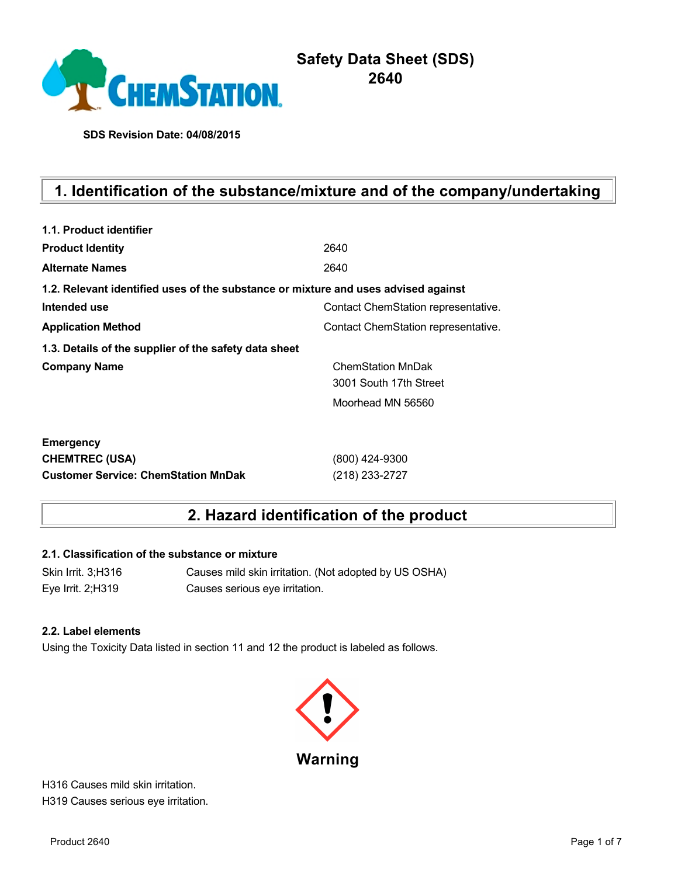

# **Safety Data Sheet (SDS) 2640**

**SDS Revision Date: 04/08/2015**

# **1. Identification of the substance/mixture and of the company/undertaking**

| 1.1. Product identifier                                                            |                                     |
|------------------------------------------------------------------------------------|-------------------------------------|
| <b>Product Identity</b>                                                            | 2640                                |
| <b>Alternate Names</b>                                                             | 2640                                |
| 1.2. Relevant identified uses of the substance or mixture and uses advised against |                                     |
| Intended use                                                                       | Contact ChemStation representative. |
| <b>Application Method</b>                                                          | Contact ChemStation representative. |
| 1.3. Details of the supplier of the safety data sheet                              |                                     |
| <b>Company Name</b>                                                                | <b>ChemStation MnDak</b>            |
|                                                                                    | 3001 South 17th Street              |
|                                                                                    | Moorhead MN 56560                   |
| <b>Emergency</b>                                                                   |                                     |
| <b>CHEMTREC (USA)</b>                                                              | (800) 424-9300                      |
| <b>Customer Service: ChemStation MnDak</b>                                         | (218) 233-2727                      |

## **2. Hazard identification of the product**

#### **2.1. Classification of the substance or mixture**

Skin Irrit. 3;H316 Causes mild skin irritation. (Not adopted by US OSHA) Eye Irrit. 2;H319 Causes serious eye irritation.

#### **2.2. Label elements**

Using the Toxicity Data listed in section 11 and 12 the product is labeled as follows.



H316 Causes mild skin irritation. H319 Causes serious eye irritation.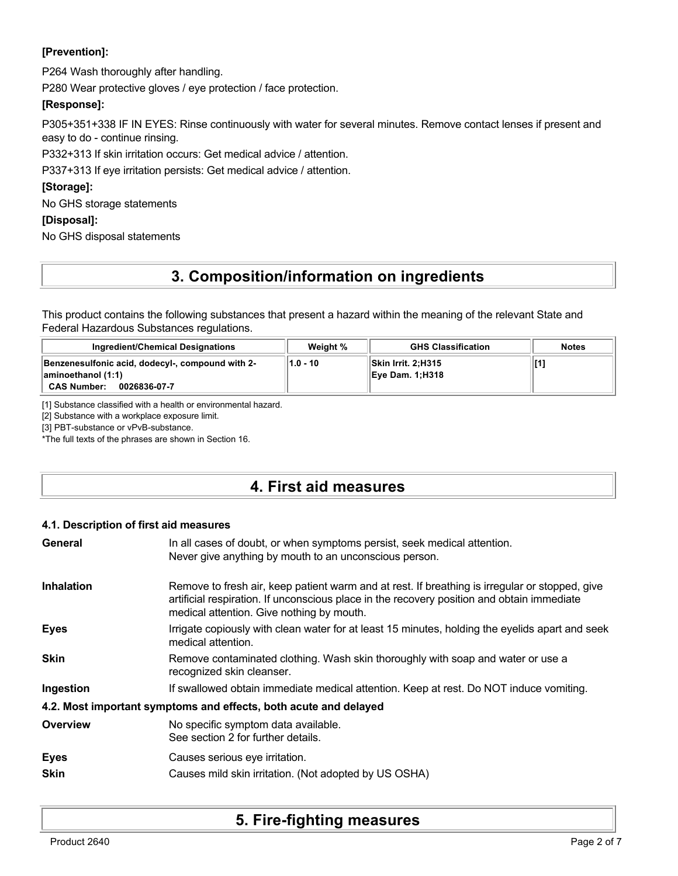### **[Prevention]:**

P264 Wash thoroughly after handling.

P280 Wear protective gloves / eye protection / face protection.

### **[Response]:**

P305+351+338 IF IN EYES: Rinse continuously with water for several minutes. Remove contact lenses if present and easy to do - continue rinsing.

P332+313 If skin irritation occurs: Get medical advice / attention.

P337+313 If eye irritation persists: Get medical advice / attention.

### **[Storage]:**

No GHS storage statements

### **[Disposal]:**

No GHS disposal statements

# **3. Composition/information on ingredients**

This product contains the following substances that present a hazard within the meaning of the relevant State and Federal Hazardous Substances regulations.

| Ingredient/Chemical Designations                                                                             | Weight % | <b>GHS Classification</b>              | <b>Notes</b> |
|--------------------------------------------------------------------------------------------------------------|----------|----------------------------------------|--------------|
| Benzenesulfonic acid, dodecyl-, compound with 2-<br>aminoethanol (1:1)<br><b>CAS Number:</b><br>0026836-07-7 | 1.0 - 10 | Skin Irrit. 2:H315<br>∥Eye Dam. 1:H318 |              |

[1] Substance classified with a health or environmental hazard.

[2] Substance with a workplace exposure limit.

[3] PBT-substance or vPvB-substance.

\*The full texts of the phrases are shown in Section 16.

## **4. First aid measures**

### **4.1. Description of first aid measures**

| General                    | In all cases of doubt, or when symptoms persist, seek medical attention.<br>Never give anything by mouth to an unconscious person.                                                                                                        |
|----------------------------|-------------------------------------------------------------------------------------------------------------------------------------------------------------------------------------------------------------------------------------------|
| <b>Inhalation</b>          | Remove to fresh air, keep patient warm and at rest. If breathing is irregular or stopped, give<br>artificial respiration. If unconscious place in the recovery position and obtain immediate<br>medical attention. Give nothing by mouth. |
| <b>Eyes</b>                | Irrigate copiously with clean water for at least 15 minutes, holding the eyelids apart and seek<br>medical attention.                                                                                                                     |
| <b>Skin</b>                | Remove contaminated clothing. Wash skin thoroughly with soap and water or use a<br>recognized skin cleanser.                                                                                                                              |
| Ingestion                  | If swallowed obtain immediate medical attention. Keep at rest. Do NOT induce vomiting.                                                                                                                                                    |
|                            | 4.2. Most important symptoms and effects, both acute and delayed                                                                                                                                                                          |
| Overview                   | No specific symptom data available.<br>See section 2 for further details.                                                                                                                                                                 |
| <b>Eyes</b><br><b>Skin</b> | Causes serious eye irritation.<br>Causes mild skin irritation. (Not adopted by US OSHA)                                                                                                                                                   |

## **5. Fire-fighting measures**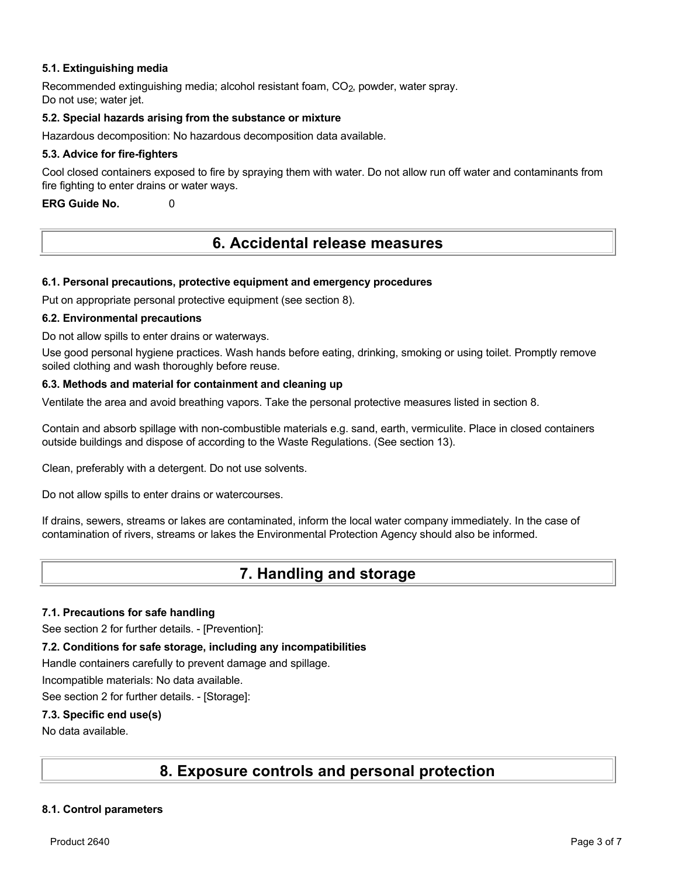#### **5.1. Extinguishing media**

Recommended extinguishing media; alcohol resistant foam, CO<sub>2</sub>, powder, water spray. Do not use: water jet.

#### **5.2. Special hazards arising from the substance or mixture**

Hazardous decomposition: No hazardous decomposition data available.

#### **5.3. Advice for fire-fighters**

Cool closed containers exposed to fire by spraying them with water. Do not allow run off water and contaminants from fire fighting to enter drains or water ways.

**ERG Guide No.** 0

## **6. Accidental release measures**

#### **6.1. Personal precautions, protective equipment and emergency procedures**

Put on appropriate personal protective equipment (see section 8).

#### **6.2. Environmental precautions**

Do not allow spills to enter drains or waterways.

Use good personal hygiene practices. Wash hands before eating, drinking, smoking or using toilet. Promptly remove soiled clothing and wash thoroughly before reuse.

#### **6.3. Methods and material for containment and cleaning up**

Ventilate the area and avoid breathing vapors. Take the personal protective measures listed in section 8.

Contain and absorb spillage with non-combustible materials e.g. sand, earth, vermiculite. Place in closed containers outside buildings and dispose of according to the Waste Regulations. (See section 13).

Clean, preferably with a detergent. Do not use solvents.

Do not allow spills to enter drains or watercourses.

If drains, sewers, streams or lakes are contaminated, inform the local water company immediately. In the case of contamination of rivers, streams or lakes the Environmental Protection Agency should also be informed.

## **7. Handling and storage**

#### **7.1. Precautions for safe handling**

See section 2 for further details. - [Prevention]:

#### **7.2. Conditions for safe storage, including any incompatibilities**

Handle containers carefully to prevent damage and spillage.

Incompatible materials: No data available.

See section 2 for further details. - [Storage]:

#### **7.3. Specific end use(s)**

No data available.

## **8. Exposure controls and personal protection**

### **8.1. Control parameters**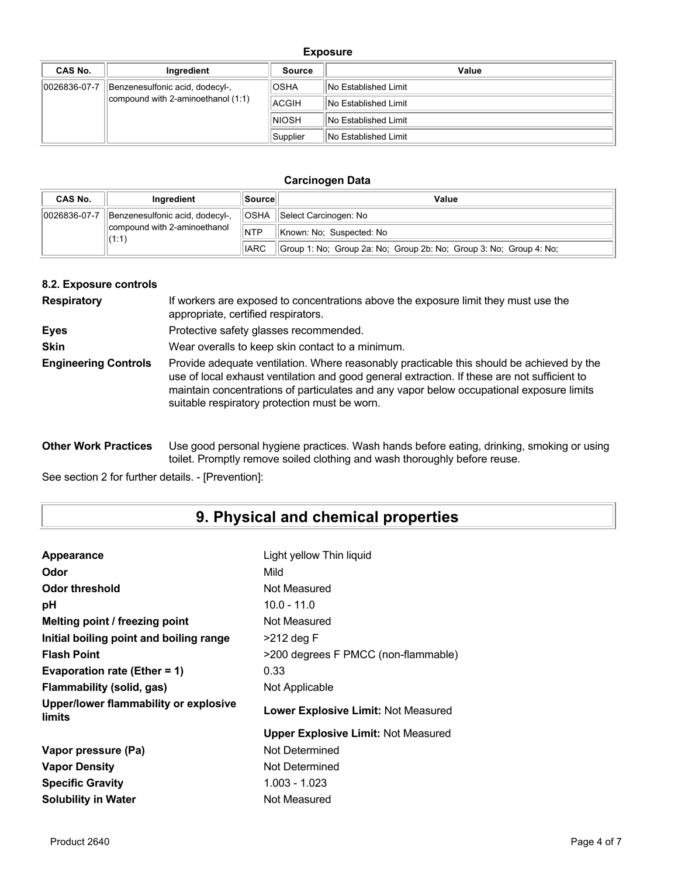### **Exposure**

| CAS No.      | Ingredient                         | <b>Source</b> | Value                       |
|--------------|------------------------------------|---------------|-----------------------------|
| 0026836-07-7 | Benzenesulfonic acid, dodecyl-,    | <b>OSHA</b>   | No Established Limit        |
|              | compound with 2-aminoethanol (1:1) | ACGIH         | <b>No Established Limit</b> |
|              |                                    | <b>NIOSH</b>  | <b>No Established Limit</b> |
|              |                                    | Supplier      | No Established Limit        |

#### **Carcinogen Data**

| <b>CAS No.</b> | Ingredient                                     | ∣Source∐    | Value                                                              |
|----------------|------------------------------------------------|-------------|--------------------------------------------------------------------|
| 0026836-07-7   | <b>OSHA</b><br>Benzenesulfonic acid, dodecyl-, |             | Select Carcinogen: No                                              |
|                | compound with 2-aminoethanol<br>(1:1)          | <b>NTP</b>  | Known: No: Suspected: No                                           |
|                |                                                | <b>IARC</b> | Group 1: No; Group 2a: No; Group 2b: No; Group 3: No; Group 4: No; |

#### **8.2. Exposure controls**

| <b>Respiratory</b>          | If workers are exposed to concentrations above the exposure limit they must use the<br>appropriate, certified respirators.                                                                                                                                                                                                             |
|-----------------------------|----------------------------------------------------------------------------------------------------------------------------------------------------------------------------------------------------------------------------------------------------------------------------------------------------------------------------------------|
| <b>Eyes</b>                 | Protective safety glasses recommended.                                                                                                                                                                                                                                                                                                 |
| <b>Skin</b>                 | Wear overalls to keep skin contact to a minimum.                                                                                                                                                                                                                                                                                       |
| <b>Engineering Controls</b> | Provide adequate ventilation. Where reasonably practicable this should be achieved by the<br>use of local exhaust ventilation and good general extraction. If these are not sufficient to<br>maintain concentrations of particulates and any vapor below occupational exposure limits<br>suitable respiratory protection must be worn. |

**Other Work Practices** Use good personal hygiene practices. Wash hands before eating, drinking, smoking or using toilet. Promptly remove soiled clothing and wash thoroughly before reuse.

See section 2 for further details. - [Prevention]:

# **9. Physical and chemical properties**

| Appearance                                      | Light yellow Thin liquid                   |
|-------------------------------------------------|--------------------------------------------|
| Odor                                            | Mild                                       |
| Odor threshold                                  | Not Measured                               |
| рH                                              | $10.0 - 11.0$                              |
| Melting point / freezing point                  | Not Measured                               |
| Initial boiling point and boiling range         | $>212$ deg F                               |
| <b>Flash Point</b>                              | >200 degrees F PMCC (non-flammable)        |
| Evaporation rate (Ether = 1)                    | 0.33                                       |
| Flammability (solid, gas)                       | Not Applicable                             |
| Upper/lower flammability or explosive<br>limits | <b>Lower Explosive Limit: Not Measured</b> |
|                                                 | <b>Upper Explosive Limit: Not Measured</b> |
| Vapor pressure (Pa)                             | Not Determined                             |
| <b>Vapor Density</b>                            | Not Determined                             |
| <b>Specific Gravity</b>                         | 1.003 - 1.023                              |
| <b>Solubility in Water</b>                      | Not Measured                               |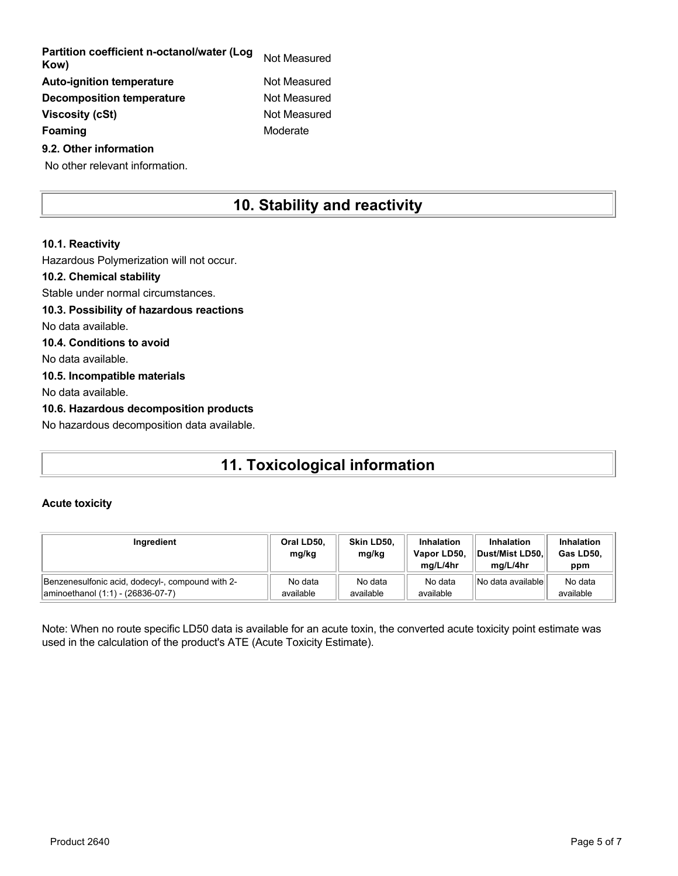| Partition coefficient n-octanol/water (Log<br>Kow) | Not Measured |
|----------------------------------------------------|--------------|
| <b>Auto-ignition temperature</b>                   | Not Measured |
| <b>Decomposition temperature</b>                   | Not Measured |
| <b>Viscosity (cSt)</b>                             | Not Measured |
| Foaming                                            | Moderate     |
| 9.2. Other information                             |              |

No other relevant information.

## **10. Stability and reactivity**

## **10.1. Reactivity** Hazardous Polymerization will not occur. **10.2. Chemical stability** Stable under normal circumstances. **10.3. Possibility of hazardous reactions** No data available. **10.4. Conditions to avoid** No data available. **10.5. Incompatible materials** No data available. **10.6. Hazardous decomposition products** No hazardous decomposition data available.

# **11. Toxicological information**

### **Acute toxicity**

| Ingredient                                       | Oral LD50,<br>mg/kg | Skin LD50.<br>mg/kg | Inhalation<br>Vapor LD50,<br>ma/L/4hr | <b>Inhalation</b><br>Dust/Mist LD50.<br>ma/L/4hr | <b>Inhalation</b><br>Gas LD50,<br>ppm |
|--------------------------------------------------|---------------------|---------------------|---------------------------------------|--------------------------------------------------|---------------------------------------|
| Benzenesulfonic acid, dodecyl-, compound with 2- | No data             | No data             | No data                               | INo data availablel                              | No data                               |
| aminoethanol (1:1) - (26836-07-7)                | available           | available           | available                             |                                                  | available                             |

Note: When no route specific LD50 data is available for an acute toxin, the converted acute toxicity point estimate was used in the calculation of the product's ATE (Acute Toxicity Estimate).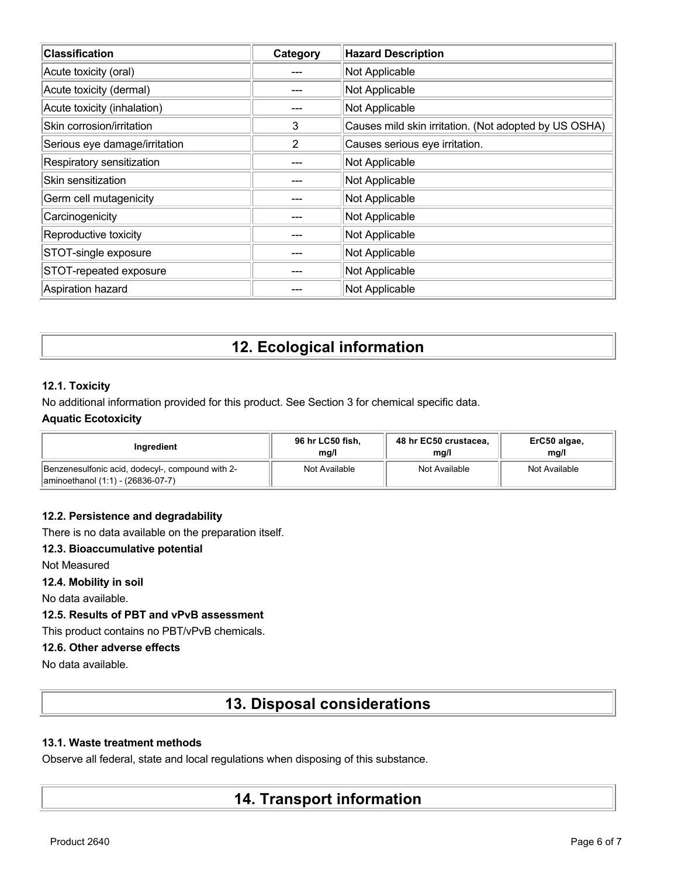| <b>Classification</b>         | Category | <b>Hazard Description</b>                             |
|-------------------------------|----------|-------------------------------------------------------|
| Acute toxicity (oral)         |          | Not Applicable                                        |
| Acute toxicity (dermal)       |          | Not Applicable                                        |
| Acute toxicity (inhalation)   |          | Not Applicable                                        |
| Skin corrosion/irritation     | 3        | Causes mild skin irritation. (Not adopted by US OSHA) |
| Serious eye damage/irritation | 2        | Causes serious eye irritation.                        |
| Respiratory sensitization     |          | Not Applicable                                        |
| Skin sensitization            |          | Not Applicable                                        |
| Germ cell mutagenicity        |          | Not Applicable                                        |
| Carcinogenicity               |          | Not Applicable                                        |
| Reproductive toxicity         | ---      | Not Applicable                                        |
| STOT-single exposure          |          | Not Applicable                                        |
| STOT-repeated exposure        |          | Not Applicable                                        |
| Aspiration hazard             |          | Not Applicable                                        |

# **12. Ecological information**

### **12.1. Toxicity**

No additional information provided for this product. See Section 3 for chemical specific data.

### **Aquatic Ecotoxicity**

| Ingredient                                                                              | 96 hr LC50 fish, | 48 hr EC50 crustacea, | ErC50 algae,  |
|-----------------------------------------------------------------------------------------|------------------|-----------------------|---------------|
|                                                                                         | mg/l             | mg/l                  | mq/l          |
| Benzenesulfonic acid, dodecyl-, compound with 2-<br>  aminoethanol (1:1) - (26836-07-7) | Not Available    | Not Available         | Not Available |

### **12.2. Persistence and degradability**

There is no data available on the preparation itself.

### **12.3. Bioaccumulative potential**

Not Measured

**12.4. Mobility in soil**

No data available.

### **12.5. Results of PBT and vPvB assessment**

This product contains no PBT/vPvB chemicals.

### **12.6. Other adverse effects**

No data available.

## **13. Disposal considerations**

### **13.1. Waste treatment methods**

Observe all federal, state and local regulations when disposing of this substance.

## **14. Transport information**